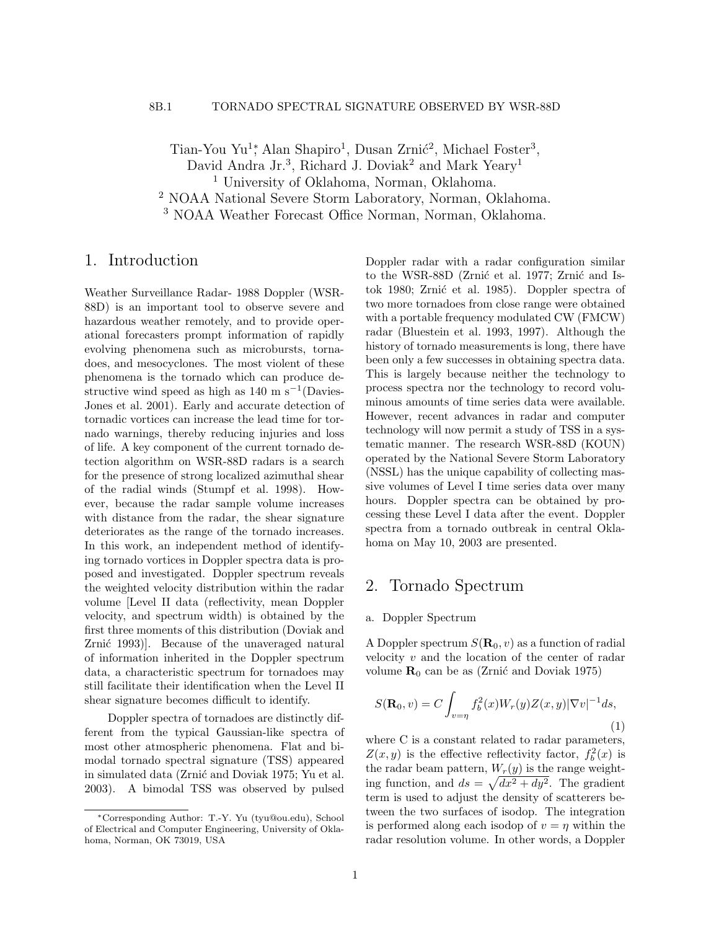Tian-You Yu<sup>1</sup><sup>\*</sup>, Alan Shapiro<sup>1</sup>, Dusan Zrnić<sup>2</sup>, Michael Foster<sup>3</sup>, David Andra Jr.<sup>3</sup>, Richard J. Doviak<sup>2</sup> and Mark Yeary<sup>1</sup> <sup>1</sup> University of Oklahoma, Norman, Oklahoma. <sup>2</sup> NOAA National Severe Storm Laboratory, Norman, Oklahoma. <sup>3</sup> NOAA Weather Forecast Office Norman, Norman, Oklahoma.

### 1. Introduction

Weather Surveillance Radar- 1988 Doppler (WSR-88D) is an important tool to observe severe and hazardous weather remotely, and to provide operational forecasters prompt information of rapidly evolving phenomena such as microbursts, tornadoes, and mesocyclones. The most violent of these phenomena is the tornado which can produce destructive wind speed as high as  $140 \text{ m s}^{-1}$ (Davies-Jones et al. 2001). Early and accurate detection of tornadic vortices can increase the lead time for tornado warnings, thereby reducing injuries and loss of life. A key component of the current tornado detection algorithm on WSR-88D radars is a search for the presence of strong localized azimuthal shear of the radial winds (Stumpf et al. 1998). However, because the radar sample volume increases with distance from the radar, the shear signature deteriorates as the range of the tornado increases. In this work, an independent method of identifying tornado vortices in Doppler spectra data is proposed and investigated. Doppler spectrum reveals the weighted velocity distribution within the radar volume [Level II data (reflectivity, mean Doppler velocity, and spectrum width) is obtained by the first three moments of this distribution (Doviak and Zrnić 1993). Because of the unaveraged natural of information inherited in the Doppler spectrum data, a characteristic spectrum for tornadoes may still facilitate their identification when the Level II shear signature becomes difficult to identify.

Doppler spectra of tornadoes are distinctly different from the typical Gaussian-like spectra of most other atmospheric phenomena. Flat and bimodal tornado spectral signature (TSS) appeared in simulated data (Zrnić and Doviak 1975; Yu et al. 2003). A bimodal TSS was observed by pulsed

Doppler radar with a radar configuration similar to the WSR-88D (Zrnić et al. 1977; Zrnić and Istok 1980; Zrnić et al. 1985). Doppler spectra of two more tornadoes from close range were obtained with a portable frequency modulated CW (FMCW) radar (Bluestein et al. 1993, 1997). Although the history of tornado measurements is long, there have been only a few successes in obtaining spectra data. This is largely because neither the technology to process spectra nor the technology to record voluminous amounts of time series data were available. However, recent advances in radar and computer technology will now permit a study of TSS in a systematic manner. The research WSR-88D (KOUN) operated by the National Severe Storm Laboratory (NSSL) has the unique capability of collecting massive volumes of Level I time series data over many hours. Doppler spectra can be obtained by processing these Level I data after the event. Doppler spectra from a tornado outbreak in central Oklahoma on May 10, 2003 are presented.

# 2. Tornado Spectrum

### a. Doppler Spectrum

A Doppler spectrum  $S(\mathbf{R}_0, v)$  as a function of radial velocity  $v$  and the location of the center of radar volume  $\mathbf{R}_0$  can be as (Zrnić and Doviak 1975)

$$
S(\mathbf{R}_0, v) = C \int_{v=\eta} f_b^2(x) W_r(y) Z(x, y) |\nabla v|^{-1} ds,
$$
\n(1)

where C is a constant related to radar parameters,  $Z(x, y)$  is the effective reflectivity factor,  $f_b^2(x)$  is the radar beam pattern,  $W_r(y)$  is the range weighting function, and  $ds = \sqrt{dx^2 + dy^2}$ . The gradient term is used to adjust the density of scatterers between the two surfaces of isodop. The integration is performed along each isodop of  $v = \eta$  within the radar resolution volume. In other words, a Doppler

<sup>∗</sup>Corresponding Author: T.-Y. Yu (tyu@ou.edu), School of Electrical and Computer Engineering, University of Oklahoma, Norman, OK 73019, USA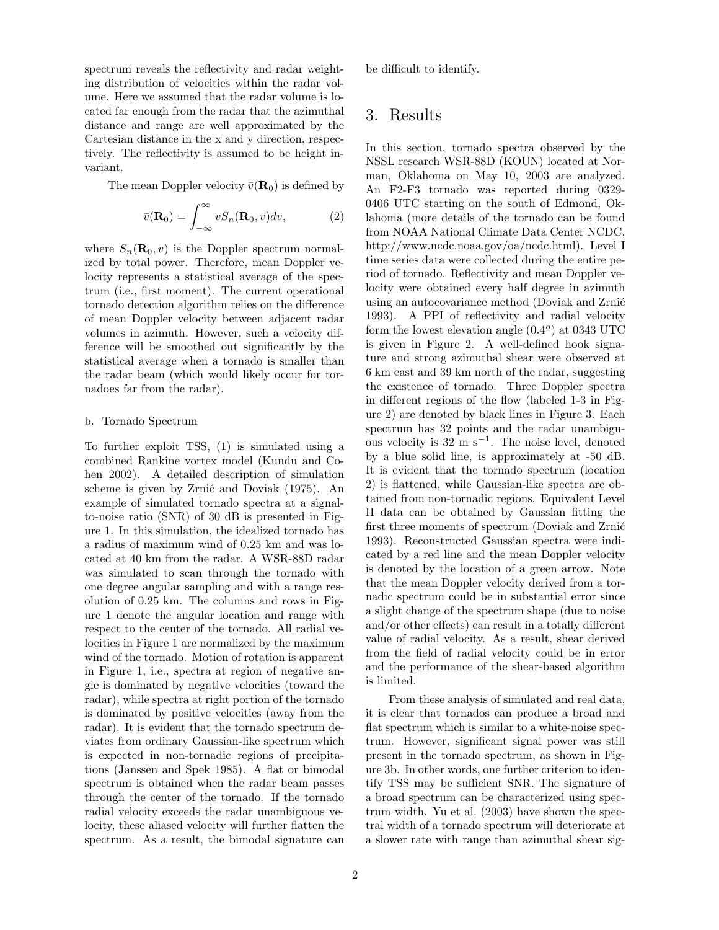spectrum reveals the reflectivity and radar weighting distribution of velocities within the radar volume. Here we assumed that the radar volume is located far enough from the radar that the azimuthal distance and range are well approximated by the Cartesian distance in the x and y direction, respectively. The reflectivity is assumed to be height invariant.

The mean Doppler velocity  $\bar{v}(\mathbf{R}_0)$  is defined by

$$
\bar{v}(\mathbf{R}_0) = \int_{-\infty}^{\infty} v S_n(\mathbf{R}_0, v) dv,
$$
\n(2)

where  $S_n(\mathbf{R}_0, v)$  is the Doppler spectrum normalized by total power. Therefore, mean Doppler velocity represents a statistical average of the spectrum (i.e., first moment). The current operational tornado detection algorithm relies on the difference of mean Doppler velocity between adjacent radar volumes in azimuth. However, such a velocity difference will be smoothed out significantly by the statistical average when a tornado is smaller than the radar beam (which would likely occur for tornadoes far from the radar).

#### b. Tornado Spectrum

To further exploit TSS, (1) is simulated using a combined Rankine vortex model (Kundu and Cohen 2002). A detailed description of simulation scheme is given by Zrnić and Doviak (1975). An example of simulated tornado spectra at a signalto-noise ratio (SNR) of 30 dB is presented in Figure 1. In this simulation, the idealized tornado has a radius of maximum wind of 0.25 km and was located at 40 km from the radar. A WSR-88D radar was simulated to scan through the tornado with one degree angular sampling and with a range resolution of 0.25 km. The columns and rows in Figure 1 denote the angular location and range with respect to the center of the tornado. All radial velocities in Figure 1 are normalized by the maximum wind of the tornado. Motion of rotation is apparent in Figure 1, i.e., spectra at region of negative angle is dominated by negative velocities (toward the radar), while spectra at right portion of the tornado is dominated by positive velocities (away from the radar). It is evident that the tornado spectrum deviates from ordinary Gaussian-like spectrum which is expected in non-tornadic regions of precipitations (Janssen and Spek 1985). A flat or bimodal spectrum is obtained when the radar beam passes through the center of the tornado. If the tornado radial velocity exceeds the radar unambiguous velocity, these aliased velocity will further flatten the spectrum. As a result, the bimodal signature can be difficult to identify.

## 3. Results

In this section, tornado spectra observed by the NSSL research WSR-88D (KOUN) located at Norman, Oklahoma on May 10, 2003 are analyzed. An F2-F3 tornado was reported during 0329- 0406 UTC starting on the south of Edmond, Oklahoma (more details of the tornado can be found from NOAA National Climate Data Center NCDC, http://www.ncdc.noaa.gov/oa/ncdc.html). Level I time series data were collected during the entire period of tornado. Reflectivity and mean Doppler velocity were obtained every half degree in azimuth using an autocovariance method (Doviak and Zrnić 1993). A PPI of reflectivity and radial velocity form the lowest elevation angle  $(0.4^{\circ})$  at 0343 UTC is given in Figure 2. A well-defined hook signature and strong azimuthal shear were observed at 6 km east and 39 km north of the radar, suggesting the existence of tornado. Three Doppler spectra in different regions of the flow (labeled 1-3 in Figure 2) are denoted by black lines in Figure 3. Each spectrum has 32 points and the radar unambiguous velocity is  $32 \text{ m s}^{-1}$ . The noise level, denoted by a blue solid line, is approximately at -50 dB. It is evident that the tornado spectrum (location 2) is flattened, while Gaussian-like spectra are obtained from non-tornadic regions. Equivalent Level II data can be obtained by Gaussian fitting the first three moments of spectrum (Doviak and Zrnić 1993). Reconstructed Gaussian spectra were indicated by a red line and the mean Doppler velocity is denoted by the location of a green arrow. Note that the mean Doppler velocity derived from a tornadic spectrum could be in substantial error since a slight change of the spectrum shape (due to noise and/or other effects) can result in a totally different value of radial velocity. As a result, shear derived from the field of radial velocity could be in error and the performance of the shear-based algorithm is limited.

From these analysis of simulated and real data, it is clear that tornados can produce a broad and flat spectrum which is similar to a white-noise spectrum. However, significant signal power was still present in the tornado spectrum, as shown in Figure 3b. In other words, one further criterion to identify TSS may be sufficient SNR. The signature of a broad spectrum can be characterized using spectrum width. Yu et al. (2003) have shown the spectral width of a tornado spectrum will deteriorate at a slower rate with range than azimuthal shear sig-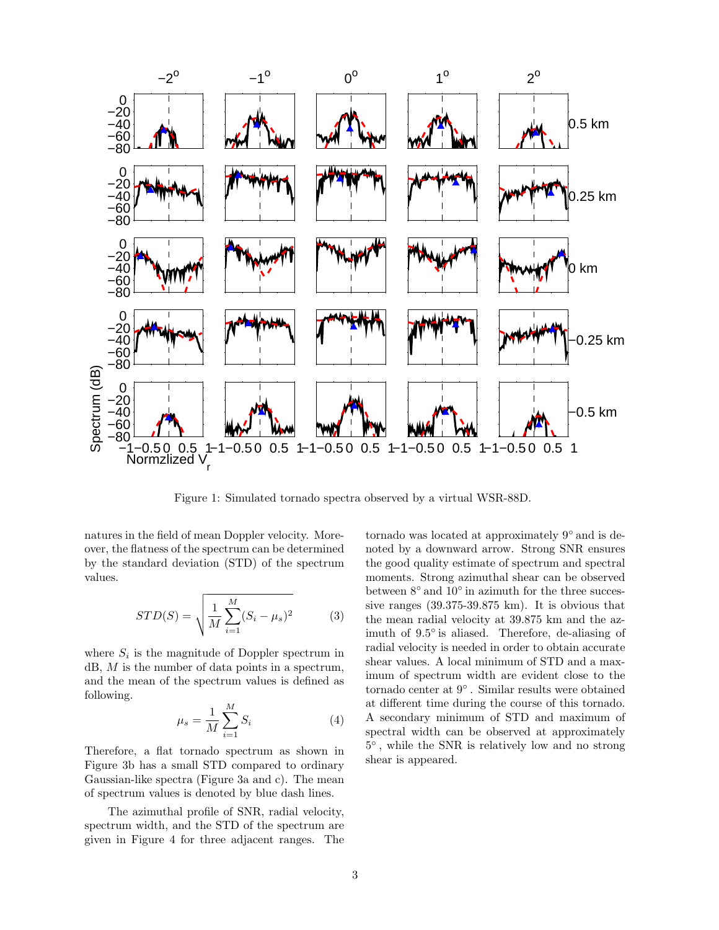

Figure 1: Simulated tornado spectra observed by a virtual WSR-88D.

natures in the field of mean Doppler velocity. Moreover, the flatness of the spectrum can be determined by the standard deviation (STD) of the spectrum values.

$$
STD(S) = \sqrt{\frac{1}{M} \sum_{i=1}^{M} (S_i - \mu_s)^2}
$$
 (3)

where  $S_i$  is the magnitude of Doppler spectrum in dB, M is the number of data points in a spectrum, and the mean of the spectrum values is defined as following.

$$
\mu_s = \frac{1}{M} \sum_{i=1}^{M} S_i \tag{4}
$$

Therefore, a flat tornado spectrum as shown in Figure 3b has a small STD compared to ordinary Gaussian-like spectra (Figure 3a and c). The mean of spectrum values is denoted by blue dash lines.

The azimuthal profile of SNR, radial velocity, spectrum width, and the STD of the spectrum are given in Figure 4 for three adjacent ranges. The

tornado was located at approximately 9<sup>°</sup> and is denoted by a downward arrow. Strong SNR ensures the good quality estimate of spectrum and spectral moments. Strong azimuthal shear can be observed between  $8^{\circ}$  and  $10^{\circ}$  in azimuth for the three successive ranges (39.375-39.875 km). It is obvious that the mean radial velocity at 39.875 km and the azimuth of 9.5◦ is aliased. Therefore, de-aliasing of radial velocity is needed in order to obtain accurate shear values. A local minimum of STD and a maximum of spectrum width are evident close to the tornado center at 9 ◦ . Similar results were obtained at different time during the course of this tornado. A secondary minimum of STD and maximum of spectral width can be observed at approximately 5 ◦ , while the SNR is relatively low and no strong shear is appeared.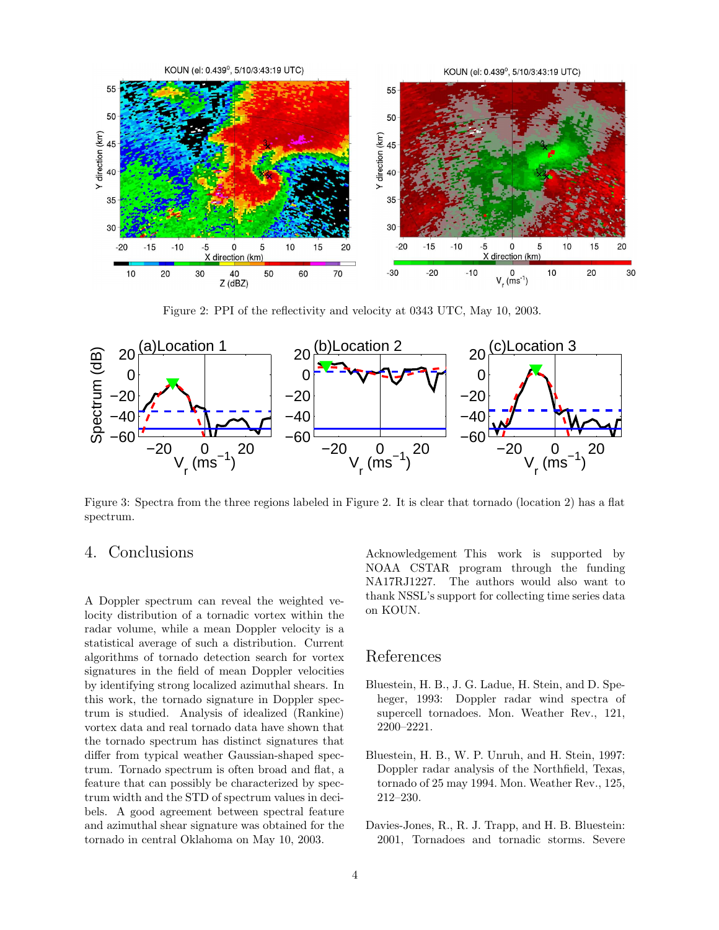

Figure 2: PPI of the reflectivity and velocity at 0343 UTC, May 10, 2003.



Figure 3: Spectra from the three regions labeled in Figure 2. It is clear that tornado (location 2) has a flat spectrum.

# 4. Conclusions

A Doppler spectrum can reveal the weighted velocity distribution of a tornadic vortex within the radar volume, while a mean Doppler velocity is a statistical average of such a distribution. Current algorithms of tornado detection search for vortex signatures in the field of mean Doppler velocities by identifying strong localized azimuthal shears. In this work, the tornado signature in Doppler spectrum is studied. Analysis of idealized (Rankine) vortex data and real tornado data have shown that the tornado spectrum has distinct signatures that differ from typical weather Gaussian-shaped spectrum. Tornado spectrum is often broad and flat, a feature that can possibly be characterized by spectrum width and the STD of spectrum values in decibels. A good agreement between spectral feature and azimuthal shear signature was obtained for the tornado in central Oklahoma on May 10, 2003.

Acknowledgement This work is supported by NOAA CSTAR program through the funding NA17RJ1227. The authors would also want to thank NSSL's support for collecting time series data on KOUN.

### References

- Bluestein, H. B., J. G. Ladue, H. Stein, and D. Speheger, 1993: Doppler radar wind spectra of supercell tornadoes. Mon. Weather Rev., 121, 2200–2221.
- Bluestein, H. B., W. P. Unruh, and H. Stein, 1997: Doppler radar analysis of the Northfield, Texas, tornado of 25 may 1994. Mon. Weather Rev., 125, 212–230.
- Davies-Jones, R., R. J. Trapp, and H. B. Bluestein: 2001, Tornadoes and tornadic storms. Severe